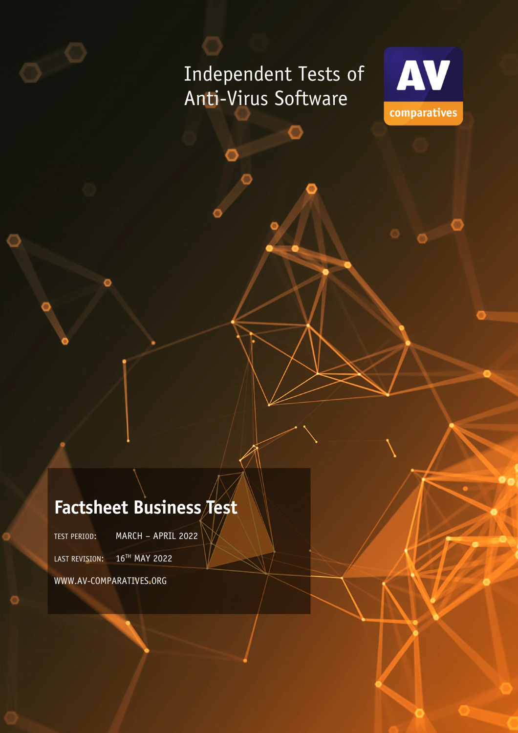# Independent Tests of Anti-Virus Software



## **Factsheet Business Test**

TEST PERIOD: MARCH – APRIL 2022

LAST REVISION: 16<sup>TH</sup> MAY 2022

WWW.AV-COMPARATIVES.ORG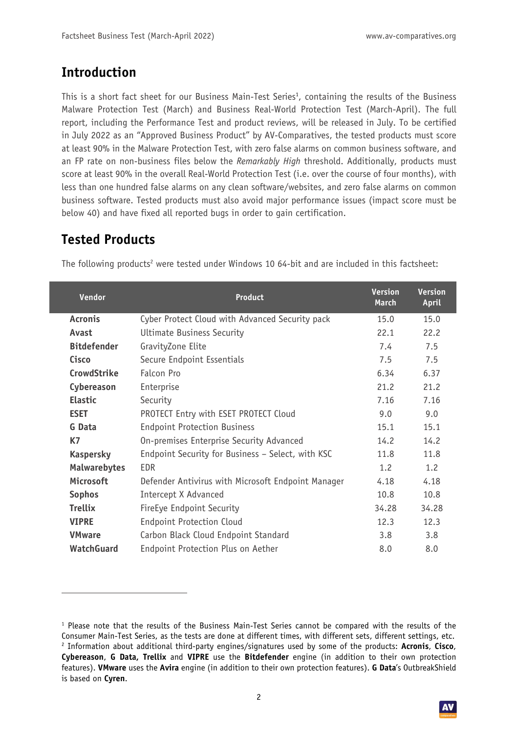### **Introduction**

This is a short fact sheet for our Business Main-Test Series<sup>1</sup>, containing the results of the Business Malware Protection Test (March) and Business Real-World Protection Test (March-April). The full report, including the Performance Test and product reviews, will be released in July. To be certified in July 2022 as an "Approved Business Product" by AV-Comparatives, the tested products must score at least 90% in the Malware Protection Test, with zero false alarms on common business software, and an FP rate on non-business files below the *Remarkably High* threshold. Additionally, products must score at least 90% in the overall Real-World Protection Test (i.e. over the course of four months), with less than one hundred false alarms on any clean software/websites, and zero false alarms on common business software. Tested products must also avoid major performance issues (impact score must be below 40) and have fixed all reported bugs in order to gain certification.

## **Tested Products**

| Vendor              | <b>Product</b>                                     | <b>Version</b><br><b>March</b> | <b>Version</b><br>April |
|---------------------|----------------------------------------------------|--------------------------------|-------------------------|
| <b>Acronis</b>      | Cyber Protect Cloud with Advanced Security pack    | 15.0                           | 15.0                    |
| Avast               | <b>Ultimate Business Security</b>                  | 22.1                           | 22.2                    |
| <b>Bitdefender</b>  | GravityZone Elite                                  | 7.4                            | 7.5                     |
| Cisco               | Secure Endpoint Essentials                         | 7.5                            | 7.5                     |
| <b>CrowdStrike</b>  | Falcon Pro                                         | 6.34                           | 6.37                    |
| Cybereason          | Enterprise                                         | 21.2                           | 21.2                    |
| <b>Elastic</b>      | Security                                           | 7.16                           | 7.16                    |
| <b>ESET</b>         | PROTECT Entry with ESET PROTECT Cloud              | 9.0                            | 9.0                     |
| G Data              | <b>Endpoint Protection Business</b>                | 15.1                           | 15.1                    |
| <b>K7</b>           | On-premises Enterprise Security Advanced           | 14.2                           | 14.2                    |
| <b>Kaspersky</b>    | Endpoint Security for Business - Select, with KSC  | 11.8                           | 11.8                    |
| <b>Malwarebytes</b> | EDR                                                | 1.2                            | 1.2                     |
| <b>Microsoft</b>    | Defender Antivirus with Microsoft Endpoint Manager | 4.18                           | 4.18                    |
| <b>Sophos</b>       | Intercept X Advanced                               | 10.8                           | 10.8                    |
| <b>Trellix</b>      | FireEye Endpoint Security                          | 34.28                          | 34.28                   |
| <b>VIPRE</b>        | <b>Endpoint Protection Cloud</b>                   | 12.3                           | 12.3                    |
| <b>VMware</b>       | Carbon Black Cloud Endpoint Standard               | 3.8                            | 3.8                     |
| <b>WatchGuard</b>   | Endpoint Protection Plus on Aether                 | 8.0                            | 8.0                     |

The following products<sup>2</sup> were tested under Windows 10 64-bit and are included in this factsheet:

<sup>1</sup> Please note that the results of the Business Main-Test Series cannot be compared with the results of the Consumer Main-Test Series, as the tests are done at different times, with different sets, different settings, etc. 2 Information about additional third-party engines/signatures used by some of the products: **Acronis**, **Cisco**, **Cybereason**, **G Data, Trellix** and **VIPRE** use the **Bitdefender** engine (in addition to their own protection features). **VMware** uses the **Avira** engine (in addition to their own protection features). **G Data**'s OutbreakShield is based on **Cyren**.

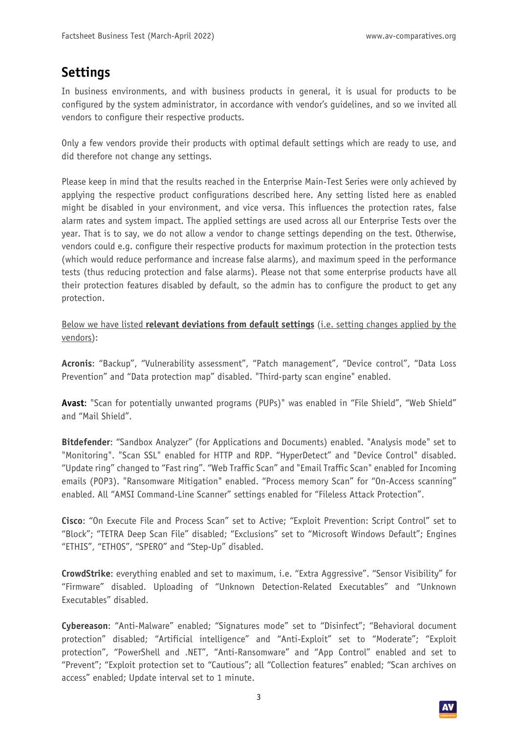#### **Settings**

In business environments, and with business products in general, it is usual for products to be configured by the system administrator, in accordance with vendor's guidelines, and so we invited all vendors to configure their respective products.

Only a few vendors provide their products with optimal default settings which are ready to use, and did therefore not change any settings.

Please keep in mind that the results reached in the Enterprise Main-Test Series were only achieved by applying the respective product configurations described here. Any setting listed here as enabled might be disabled in your environment, and vice versa. This influences the protection rates, false alarm rates and system impact. The applied settings are used across all our Enterprise Tests over the year. That is to say, we do not allow a vendor to change settings depending on the test. Otherwise, vendors could e.g. configure their respective products for maximum protection in the protection tests (which would reduce performance and increase false alarms), and maximum speed in the performance tests (thus reducing protection and false alarms). Please not that some enterprise products have all their protection features disabled by default, so the admin has to configure the product to get any protection.

Below we have listed **relevant deviations from default settings** (i.e. setting changes applied by the vendors):

**Acronis**: "Backup", "Vulnerability assessment", "Patch management", "Device control", "Data Loss Prevention" and "Data protection map" disabled. "Third-party scan engine" enabled.

**Avast**: "Scan for potentially unwanted programs (PUPs)" was enabled in "File Shield", "Web Shield" and "Mail Shield".

**Bitdefender**: "Sandbox Analyzer" (for Applications and Documents) enabled. "Analysis mode" set to "Monitoring". "Scan SSL" enabled for HTTP and RDP. "HyperDetect" and "Device Control" disabled. "Update ring" changed to "Fast ring". "Web Traffic Scan" and "Email Traffic Scan" enabled for Incoming emails (POP3). "Ransomware Mitigation" enabled. "Process memory Scan" for "On-Access scanning" enabled. All "AMSI Command-Line Scanner" settings enabled for "Fileless Attack Protection".

**Cisco**: "On Execute File and Process Scan" set to Active; "Exploit Prevention: Script Control" set to "Block"; "TETRA Deep Scan File" disabled; "Exclusions" set to "Microsoft Windows Default"; Engines "ETHIS", "ETHOS", "SPERO" and "Step-Up" disabled.

**CrowdStrike**: everything enabled and set to maximum, i.e. "Extra Aggressive". "Sensor Visibility" for "Firmware" disabled. Uploading of "Unknown Detection-Related Executables" and "Unknown Executables" disabled.

**Cybereason**: "Anti-Malware" enabled; "Signatures mode" set to "Disinfect"; "Behavioral document protection" disabled; "Artificial intelligence" and "Anti-Exploit" set to "Moderate"; "Exploit protection", "PowerShell and .NET", "Anti-Ransomware" and "App Control" enabled and set to "Prevent"; "Exploit protection set to "Cautious"; all "Collection features" enabled; "Scan archives on access" enabled; Update interval set to 1 minute.



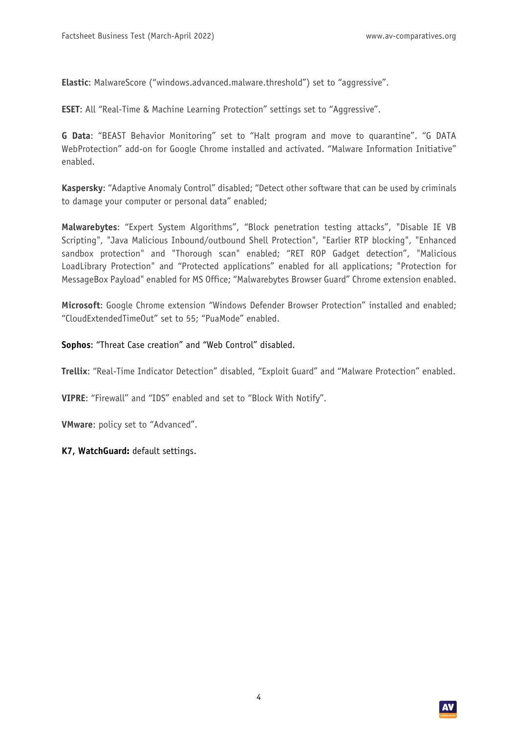**Elastic**: MalwareScore ("windows.advanced.malware.threshold") set to "aggressive".

**ESET**: All "Real-Time & Machine Learning Protection" settings set to "Aggressive".

**G Data**: "BEAST Behavior Monitoring" set to "Halt program and move to quarantine". "G DATA WebProtection" add-on for Google Chrome installed and activated. "Malware Information Initiative" enabled.

**Kaspersky**: "Adaptive Anomaly Control" disabled; "Detect other software that can be used by criminals to damage your computer or personal data" enabled;

**Malwarebytes**: "Expert System Algorithms", "Block penetration testing attacks", "Disable IE VB Scripting", "Java Malicious Inbound/outbound Shell Protection", "Earlier RTP blocking", "Enhanced sandbox protection" and "Thorough scan" enabled; "RET ROP Gadget detection", "Malicious LoadLibrary Protection" and "Protected applications" enabled for all applications; "Protection for MessageBox Payload" enabled for MS Office; "Malwarebytes Browser Guard" Chrome extension enabled.

**Microsoft**: Google Chrome extension "Windows Defender Browser Protection" installed and enabled; "CloudExtendedTimeOut" set to 55; "PuaMode" enabled.

**Sophos**: "Threat Case creation" and "Web Control" disabled.

**Trellix**: "Real-Time Indicator Detection" disabled, "Exploit Guard" and "Malware Protection" enabled.

**VIPRE**: "Firewall" and "IDS" enabled and set to "Block With Notify".

**VMware**: policy set to "Advanced".

**K7, WatchGuard:** default settings.

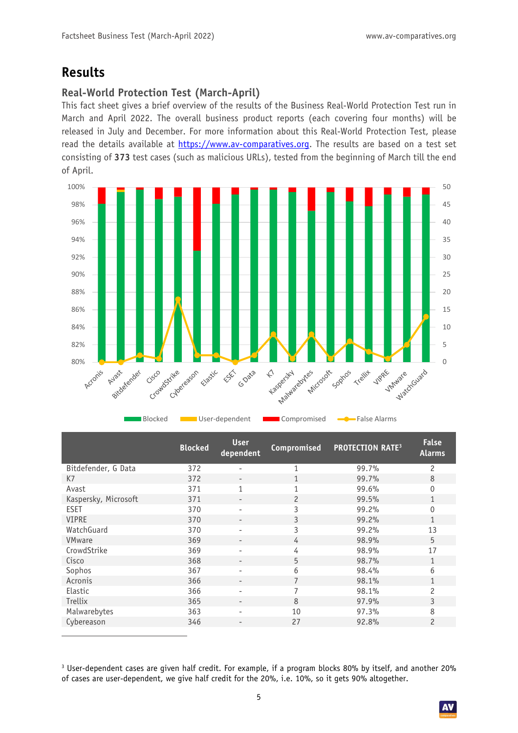### **Results**

#### **Real-World Protection Test (March-April)**

This fact sheet gives a brief overview of the results of the Business Real-World Protection Test run in March and April 2022. The overall business product reports (each covering four months) will be released in July and December. For more information about this Real-World Protection Test, please read the details available at https://www.av-comparatives.org. The results are based on a test set consisting of **373** test cases (such as malicious URLs), tested from the beginning of March till the end of April.



|                      | <b>Blocked</b> | <b>User</b><br>dependent | Compromised    | <b>PROTECTION RATE<sup>3</sup></b> | <b>False</b><br><b>Alarms</b> |
|----------------------|----------------|--------------------------|----------------|------------------------------------|-------------------------------|
| Bitdefender, G Data  | 372            |                          | 1              | 99.7%                              | 2                             |
| K7                   | 372            |                          | 1              | 99.7%                              | 8                             |
| Avast                | 371            |                          | 1              | 99.6%                              | $\mathbf 0$                   |
| Kaspersky, Microsoft | 371            | -                        | $\overline{c}$ | 99.5%                              | 1                             |
| <b>ESET</b>          | 370            | $\overline{\phantom{0}}$ | 3              | 99.2%                              | $\overline{0}$                |
| <b>VIPRE</b>         | 370            |                          | 3              | 99.2%                              | $\mathbf{1}$                  |
| WatchGuard           | 370            |                          | 3              | 99.2%                              | 13                            |
| <b>VMware</b>        | 369            |                          | 4              | 98.9%                              | 5                             |
| CrowdStrike          | 369            |                          | 4              | 98.9%                              | 17                            |
| Cisco                | 368            |                          | 5              | 98.7%                              | $\mathbf{1}$                  |
| Sophos               | 367            | -                        | 6              | 98.4%                              | 6                             |
| Acronis              | 366            | $\overline{\phantom{0}}$ | 7              | 98.1%                              | 1                             |
| Elastic              | 366            | -                        | 7              | 98.1%                              | 2                             |
| Trellix              | 365            | -                        | 8              | 97.9%                              | 3                             |
| Malwarebytes         | 363            |                          | 10             | 97.3%                              | 8                             |
| Cybereason           | 346            | -                        | 27             | 92.8%                              | 2                             |
|                      |                |                          |                |                                    |                               |

 $^3$  User-dependent cases are given half credit. For example, if a program blocks 80% by itself, and another 20% of cases are user-dependent, we give half credit for the 20%, i.e. 10%, so it gets 90% altogether.

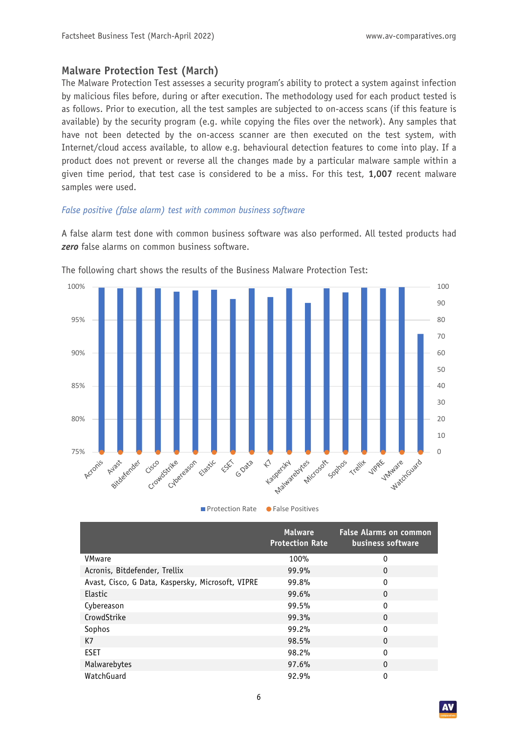#### **Malware Protection Test (March)**

The Malware Protection Test assesses a security program's ability to protect a system against infection by malicious files before, during or after execution. The methodology used for each product tested is as follows. Prior to execution, all the test samples are subjected to on-access scans (if this feature is available) by the security program (e.g. while copying the files over the network). Any samples that have not been detected by the on-access scanner are then executed on the test system, with Internet/cloud access available, to allow e.g. behavioural detection features to come into play. If a product does not prevent or reverse all the changes made by a particular malware sample within a given time period, that test case is considered to be a miss. For this test, **1,007** recent malware samples were used.

#### *False positive (false alarm) test with common business software*

A false alarm test done with common business software was also performed. All tested products had *zero* false alarms on common business software.



The following chart shows the results of the Business Malware Protection Test:

|                                                   | <b>Malware</b><br><b>Protection Rate</b> | <b>False Alarms on common</b><br>business software |
|---------------------------------------------------|------------------------------------------|----------------------------------------------------|
| VMware                                            | 100%                                     | 0                                                  |
| Acronis, Bitdefender, Trellix                     | 99.9%                                    | 0                                                  |
| Avast, Cisco, G Data, Kaspersky, Microsoft, VIPRE | 99.8%                                    | 0                                                  |
| Elastic                                           | 99.6%                                    | 0                                                  |
| Cybereason                                        | 99.5%                                    | 0                                                  |
| CrowdStrike                                       | 99.3%                                    | 0                                                  |
| Sophos                                            | $99.2\%$                                 | 0                                                  |
| K7                                                | 98.5%                                    | $\mathbf{0}$                                       |
| <b>ESET</b>                                       | 98.2%                                    | 0                                                  |
| Malwarebytes                                      | 97.6%                                    | $\mathbf{0}$                                       |
| WatchGuard                                        | 92.9%                                    | 0                                                  |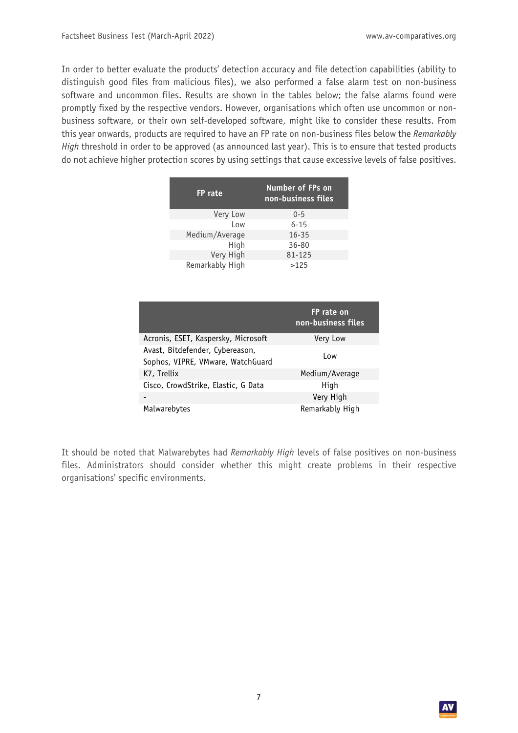In order to better evaluate the products' detection accuracy and file detection capabilities (ability to distinguish good files from malicious files), we also performed a false alarm test on non-business software and uncommon files. Results are shown in the tables below; the false alarms found were promptly fixed by the respective vendors. However, organisations which often use uncommon or nonbusiness software, or their own self-developed software, might like to consider these results. From this year onwards, products are required to have an FP rate on non-business files below the *Remarkably High* threshold in order to be approved (as announced last year). This is to ensure that tested products do not achieve higher protection scores by using settings that cause excessive levels of false positives.

| FP rate         | Number of FPs on<br>non-business files |
|-----------------|----------------------------------------|
| Very Low        | $0 - 5$                                |
| Low             | $6 - 15$                               |
| Medium/Average  | $16 - 35$                              |
| High            | $36 - 80$                              |
| Very High       | 81-125                                 |
| Remarkably High | >125                                   |

|                                                                      | FP rate on<br>non-business files |
|----------------------------------------------------------------------|----------------------------------|
| Acronis, ESET, Kaspersky, Microsoft                                  | Very Low                         |
| Avast, Bitdefender, Cybereason,<br>Sophos, VIPRE, VMware, WatchGuard | Low                              |
| K7, Trellix                                                          | Medium/Average                   |
| Cisco, CrowdStrike, Elastic, G Data                                  | High                             |
|                                                                      | Very High                        |
| Malwarebytes                                                         | Remarkably High                  |

It should be noted that Malwarebytes had *Remarkably High* levels of false positives on non-business files. Administrators should consider whether this might create problems in their respective organisations' specific environments.